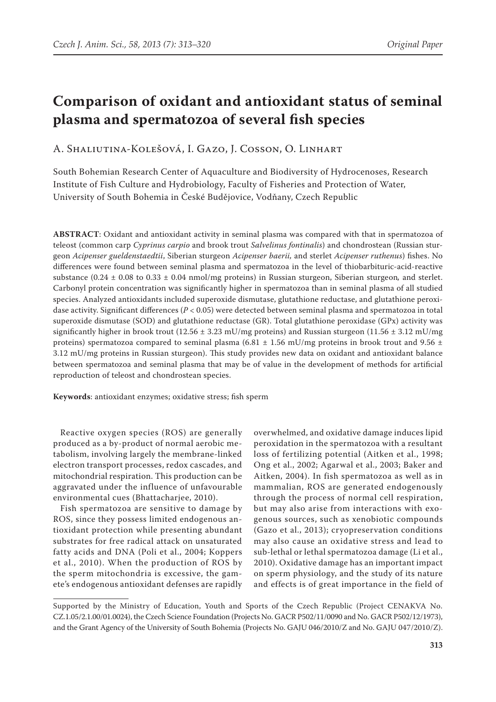# **Comparison of oxidant and antioxidant status of seminal plasma and spermatozoa of several fish species**

A. Shaliutina-Kolešová, I. Gazo, J. Cosson, O. Linhart

South Bohemian Research Center of Aquaculture and Biodiversity of Hydrocenoses, Research Institute of Fish Culture and Hydrobiology, Faculty of Fisheries and Protection of Water, University of South Bohemia in České Budějovice, Vodňany, Czech Republic

**ABSTRACT**: Oxidant and antioxidant activity in seminal plasma was compared with that in spermatozoa of teleost (common carp *Cyprinus carpio* and brook trout *Salvelinus fontinalis*) and chondrostean (Russian sturgeon *Acipenser gueldenstaedtii*, Siberian sturgeon *Acipenser baerii,* and sterlet *Acipenser ruthenus*) fishes. No differences were found between seminal plasma and spermatozoa in the level of thiobarbituric-acid-reactive substance (0.24 ± 0.08 to 0.33 ± 0.04 nmol/mg proteins) in Russian sturgeon, Siberian sturgeon*,* and sterlet. Carbonyl protein concentration was significantly higher in spermatozoa than in seminal plasma of all studied species. Analyzed antioxidants included superoxide dismutase, glutathione reductase, and glutathione peroxidase activity. Significant differences (*P* < 0.05) were detected between seminal plasma and spermatozoa in total superoxide dismutase (SOD) and glutathione reductase (GR). Total glutathione peroxidase (GPx) activity was significantly higher in brook trout  $(12.56 \pm 3.23 \text{ mU/mg}$  proteins) and Russian sturgeon  $(11.56 \pm 3.12 \text{ mU/mg}$ proteins) spermatozoa compared to seminal plasma (6.81  $\pm$  1.56 mU/mg proteins in brook trout and 9.56  $\pm$ 3.12 mU/mg proteins in Russian sturgeon). This study provides new data on oxidant and antioxidant balance between spermatozoa and seminal plasma that may be of value in the development of methods for artificial reproduction of teleost and chondrostean species.

**Keywords**: antioxidant enzymes; oxidative stress; fish sperm

Reactive oxygen species (ROS) are generally produced as a by-product of normal aerobic metabolism, involving largely the membrane-linked electron transport processes, redox cascades, and mitochondrial respiration. This production can be aggravated under the influence of unfavourable environmental cues (Bhattacharjee, 2010).

Fish spermatozoa are sensitive to damage by ROS, since they possess limited endogenous antioxidant protection while presenting abundant substrates for free radical attack on unsaturated fatty acids and DNA (Poli et al., 2004; Koppers et al., 2010). When the production of ROS by the sperm mitochondria is excessive, the gamete's endogenous antioxidant defenses are rapidly

overwhelmed, and oxidative damage induces lipid peroxidation in the spermatozoa with a resultant loss of fertilizing potential (Aitken et al., 1998; Ong et al., 2002; Agarwal et al., 2003; Baker and Aitken, 2004). In fish spermatozoa as well as in mammalian, ROS are generated endogenously through the process of normal cell respiration, but may also arise from interactions with exogenous sources, such as xenobiotic compounds (Gazo et al., 2013); cryopreservation conditions may also cause an oxidative stress and lead to sub-lethal or lethal spermatozoa damage (Li et al., 2010). Oxidative damage has an important impact on sperm physiology, and the study of its nature and effects is of great importance in the field of

Supported by the Ministry of Education, Youth and Sports of the Czech Republic (Project CENAKVA No. CZ.1.05/2.1.00/01.0024), the Czech Science Foundation (Projects No. GACR P502/11/0090 and No. GACR P502/12/1973), and the Grant Agency of the University of South Bohemia (Projects No. GAJU 046/2010/Z and No. GAJU 047/2010/Z).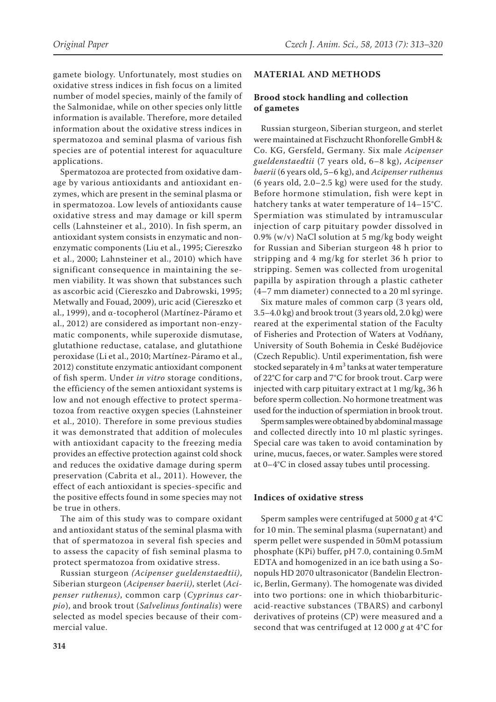gamete biology. Unfortunately, most studies on oxidative stress indices in fish focus on a limited number of model species, mainly of the family of the Salmonidae, while on other species only little information is available. Therefore, more detailed information about the oxidative stress indices in spermatozoa and seminal plasma of various fish species are of potential interest for aquaculture applications.

Spermatozoa are protected from oxidative damage by various antioxidants and antioxidant enzymes, which are present in the seminal plasma or in spermatozoa. Low levels of antioxidants cause oxidative stress and may damage or kill sperm cells (Lahnsteiner et al., 2010). In fish sperm, an antioxidant system consists in enzymatic and nonenzymatic components (Liu et al., 1995; Ciereszko et al., 2000; Lahnsteiner et al., 2010) which have significant consequence in maintaining the semen viability. It was shown that substances such as ascorbic acid (Ciereszko and Dabrowski, 1995; Metwally and Fouad, 2009), uric acid (Ciereszko et al., 1999), and α-tocopherol (Martínez-Páramo et al., 2012) are considered as important non-enzymatic components, while superoxide dismutase, glutathione reductase, catalase, and glutathione peroxidase (Li et al., 2010; Martínez-Páramo et al., 2012) constitute enzymatic antioxidant component of fish sperm. Under *in vitro* storage conditions, the efficiency of the semen antioxidant systems is low and not enough effective to protect spermatozoa from reactive oxygen species (Lahnsteiner et al., 2010). Therefore in some previous studies it was demonstrated that addition of molecules with antioxidant capacity to the freezing media provides an effective protection against cold shock and reduces the oxidative damage during sperm preservation (Cabrita et al., 2011). However, the effect of each antioxidant is species-specific and the positive effects found in some species may not be true in others.

The aim of this study was to compare oxidant and antioxidant status of the seminal plasma with that of spermatozoa in several fish species and to assess the capacity of fish seminal plasma to protect spermatozoa from oxidative stress.

Russian sturgeon *(Acipenser gueldenstaedtii)*, Siberian sturgeon (*Acipenser baerii)*, sterlet (*Acipenser ruthenus)*, common carp (*Cyprinus carpio*), and brook trout (*Salvelinus fontinalis*) were selected as model species because of their commercial value.

# **MATERIAL AND METHODS**

# **Brood stock handling and collection of gametes**

Russian sturgeon, Siberian sturgeon, and sterlet were maintained at Fischzucht Rhonforelle GmbH & Co. KG, Gersfeld, Germany. Six male *Acipenser gueldenstaedtii* (7 years old, 6–8 kg), *Acipenser baerii* (6 years old, 5–6 kg), and *Acipenser ruthenus* (6 years old, 2.0–2.5 kg) were used for the study. Before hormone stimulation, fish were kept in hatchery tanks at water temperature of 14–15°C. Spermiation was stimulated by intramuscular injection of carp pituitary powder dissolved in 0.9% (w/v) NaCl solution at 5 mg/kg body weight for Russian and Siberian sturgeon 48 h prior to stripping and 4 mg/kg for sterlet 36 h prior to stripping. Semen was collected from urogenital papilla by aspiration through a plastic catheter (4–7 mm diameter) connected to a 20 ml syringe.

Six mature males of common carp (3 years old, 3.5–4.0 kg) and brook trout (3 years old, 2.0 kg) were reared at the experimental station of the Faculty of Fisheries and Protection of Waters at Vodňany, University of South Bohemia in České Budějovice (Czech Republic). Until experimentation, fish were stocked separately in  $4 \text{ m}^3$  tanks at water temperature of 22°C for carp and 7°C for brook trout. Carp were injected with carp pituitary extract at 1 mg/kg, 36 h before sperm collection. No hormone treatment was used for the induction of spermiation in brook trout.

Sperm samples were obtained by abdominal massage and collected directly into 10 ml plastic syringes. Special care was taken to avoid contamination by urine, mucus, faeces, or water. Samples were stored at 0–4°C in closed assay tubes until processing.

# **Indices of oxidative stress**

Sperm samples were centrifuged at 5000 *g* at 4°C for 10 min. The seminal plasma (supernatant) and sperm pellet were suspended in 50mM potassium phosphate (KPi) buffer, pH 7.0, containing 0.5mM EDTA and homogenized in an ice bath using a Sonopuls HD 2070 ultrasonicator (Bandelin Electronic, Berlin, Germany). The homogenate was divided into two portions: one in which thiobarbituricacid-reactive substances (TBARS) and carbonyl derivatives of proteins (CP) were measured and a second that was centrifuged at 12 000 *g* at 4°C for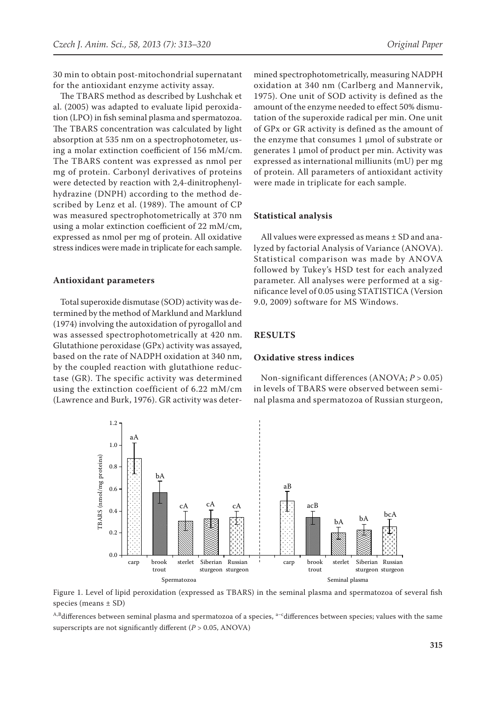30 min to obtain post-mitochondrial supernatant for the antioxidant enzyme activity assay.

The TBARS method as described by Lushchak et al. (2005) was adapted to evaluate lipid peroxidation (LPO) in fish seminal plasma and spermatozoa. The TBARS concentration was calculated by light absorption at 535 nm on a spectrophotometer, using a molar extinction coefficient of 156 mM/cm. The TBARS content was expressed as nmol per mg of protein. Carbonyl derivatives of proteins were detected by reaction with 2,4-dinitrophenylhydrazine (DNPH) according to the method described by Lenz et al. (1989). The amount of CP was measured spectrophotometrically at 370 nm using a molar extinction coefficient of 22 mM/cm, expressed as nmol per mg of protein. All oxidative stress indices were made in triplicate for each sample.

# **Antioxidant parameters**

Total superoxide dismutase (SOD) activity was determined by the method of Marklund and Marklund (1974) involving the autoxidation of pyrogallol and was assessed spectrophotometrically at 420 nm. Glutathione peroxidase (GPx) activity was assayed, based on the rate of NADPH oxidation at 340 nm, by the coupled reaction with glutathione reductase (GR). The specific activity was determined using the extinction coefficient of 6.22 mM/cm (Lawrence and Burk, 1976). GR activity was deter-

mined spectrophotometrically, measuring NADPH oxidation at 340 nm (Carlberg and Mannervik, 1975). One unit of SOD activity is defined as the amount of the enzyme needed to effect 50% dismutation of the superoxide radical per min. One unit of GPx or GR activity is defined as the amount of the enzyme that consumes 1 µmol of substrate or generates 1 µmol of product per min. Activity was expressed as international milliunits (mU) per mg of protein. All parameters of antioxidant activity were made in triplicate for each sample.

# **Statistical analysis**

All values were expressed as means ± SD and analyzed by factorial Analysis of Variance (ANOVA). Statistical comparison was made by ANOVA followed by Tukey's HSD test for each analyzed parameter. All analyses were performed at a significance level of 0.05 using STATISTICA (Version 9.0, 2009) software for MS Windows.

### **RESULTS**

#### **Oxidative stress indices**

Non-significant differences (ANOVA; *P* > 0.05) in levels of TBARS were observed between seminal plasma and spermatozoa of Russian sturgeon,



Figure 1. Level of lipid peroxidation (expressed as TBARS) in the seminal plasma and spermatozoa of several fish species (means ± SD)

A,Bdifferences between seminal plasma and spermatozoa of a species, <sup>a-c</sup>differences between species; values with the same superscripts are not significantly different (*P* > 0.05, ANOVA)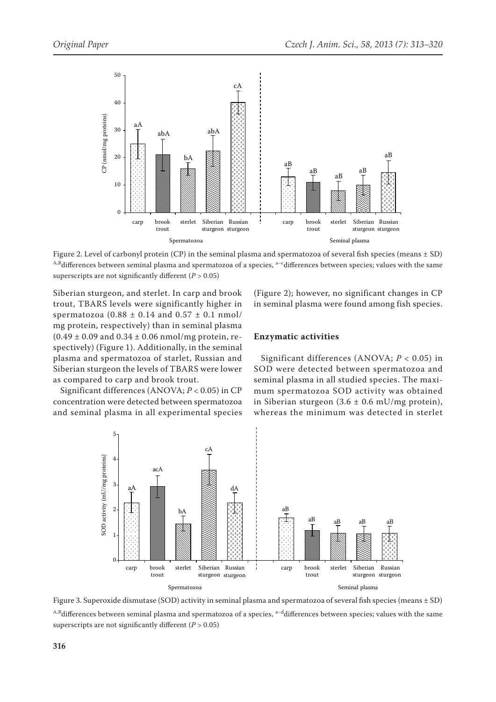

Figure 2. Level of carbonyl protein (CP) in the seminal plasma and spermatozoa of several fish species (means  $\pm$  SD) A,Bdifferences between seminal plasma and spermatozoa of a species, <sup>a-c</sup>differences between species; values with the same superscripts are not significantly different (*P* > 0.05)

Siberian sturgeon, and sterlet. In carp and brook trout, TBARS levels were significantly higher in spermatozoa (0.88  $\pm$  0.14 and 0.57  $\pm$  0.1 nmol/ mg protein, respectively) than in seminal plasma  $(0.49 \pm 0.09 \text{ and } 0.34 \pm 0.06 \text{ nmol/mg protein, re-}$ spectively) (Figure 1). Additionally, in the seminal plasma and spermatozoa of starlet, Russian and Siberian sturgeon the levels of TBARS were lower as compared to carp and brook trout.

Significant differences (ANOVA; *P* < 0.05) in CP concentration were detected between spermatozoa and seminal plasma in all experimental species

(Figure 2); however, no significant changes in CP in seminal plasma were found among fish species.

# **Enzymatic activities**

Significant differences (ANOVA; *P* < 0.05) in SOD were detected between spermatozoa and seminal plasma in all studied species. The maximum spermatozoa SOD activity was obtained in Siberian sturgeon  $(3.6 \pm 0.6 \text{ mU/mg protein})$ , whereas the minimum was detected in sterlet



Figure 3. Superoxide dismutase (SOD) activity in seminal plasma and spermatozoa of several fish species (means ± SD) A,Bdifferences between seminal plasma and spermatozoa of a species, <sup>a-d</sup>differences between species; values with the same superscripts are not significantly different  $(P > 0.05)$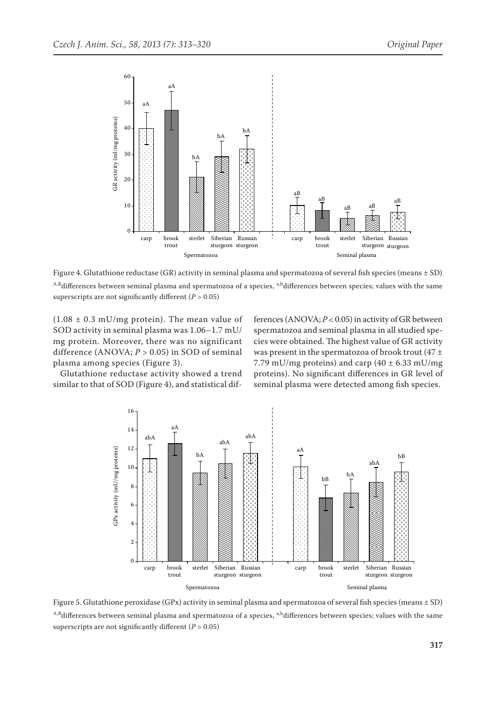

Figure 4. Glutathione reductase (GR) activity in seminal plasma and spermatozoa of several fish species (means ± SD) A,Bdifferences between seminal plasma and spermatozoa of a species, <sup>a,b</sup>differences between species; values with the same superscripts are not significantly different (*P* > 0.05)

 $(1.08 \pm 0.3 \text{ mU/mg protein})$ . The mean value of SOD activity in seminal plasma was 1.06–1.7 mU/ mg protein. Moreover, there was no significant difference (ANOVA; *P* > 0.05) in SOD of seminal plasma among species (Figure 3).

ferences (ANOVA;  $P < 0.05$ ) in activity of GR between spermatozoa and seminal plasma in all studied species were obtained. The highest value of GR activity was present in the spermatozoa of brook trout (47 ± 7.79 mU/mg proteins) and carp  $(40 \pm 6.33 \text{ mU/mg})$ proteins). No significant differences in GR level of seminal plasma were detected among fish species.

Glutathione reductase activity showed a trend similar to that of SOD (Figure 4), and statistical dif-



Figure 5. Glutathione peroxidase (GPx) activity in seminal plasma and spermatozoa of several fish species (means  $\pm$  SD) <sup>A,B</sup>differences between seminal plasma and spermatozoa of a species, <sup>a,b</sup>differences between species; values with the same superscripts are not significantly different  $(P > 0.05)$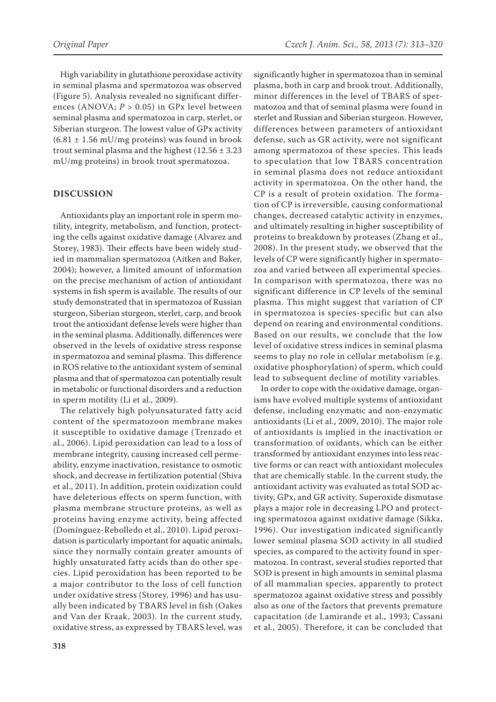High variability in glutathione peroxidase activity in seminal plasma and spermatozoa was observed (Figure 5). Analysis revealed no significant differences (ANOVA; *P* > 0.05) in GPx level between seminal plasma and spermatozoa in carp, sterlet, or Siberian sturgeon. The lowest value of GPx activity  $(6.81 \pm 1.56 \text{ mU/mg}$  proteins) was found in brook trout seminal plasma and the highest  $(12.56 \pm 3.23)$ mU/mg proteins) in brook trout spermatozoa.

# **DISCUSSION**

Antioxidants play an important role in sperm motility, integrity, metabolism, and function, protecting the cells against oxidative damage (Alvarez and Storey, 1983). Their effects have been widely studied in mammalian spermatozoa (Aitken and Baker, 2004); however, a limited amount of information on the precise mechanism of action of antioxidant systems in fish sperm is available. The results of our study demonstrated that in spermatozoa of Russian sturgeon, Siberian sturgeon, sterlet, carp, and brook trout the antioxidant defense levels were higher than in the seminal plasma. Additionally, differences were observed in the levels of oxidative stress response in spermatozoa and seminal plasma. This difference in ROS relative to the antioxidant system of seminal plasma and that of spermatozoa can potentially result in metabolic or functional disorders and a reduction in sperm motility (Li et al., 2009).

The relatively high polyunsaturated fatty acid content of the spermatozoon membrane makes it susceptible to oxidative damage (Trenzado et al., 2006). Lipid peroxidation can lead to a loss of membrane integrity, causing increased cell permeability, enzyme inactivation, resistance to osmotic shock, and decrease in fertilization potential (Shiva et al., 2011). In addition, protein oxidization could have deleterious effects on sperm function, with plasma membrane structure proteins, as well as proteins having enzyme activity, being affected (Domínguez-Rebolledo et al., 2010). Lipid peroxidation is particularly important for aquatic animals, since they normally contain greater amounts of highly unsaturated fatty acids than do other species. Lipid peroxidation has been reported to be a major contributor to the loss of cell function under oxidative stress (Storey, 1996) and has usually been indicated by TBARS level in fish (Oakes and Van der Kraak, 2003). In the current study, oxidative stress, as expressed by TBARS level, was

significantly higher in spermatozoa than in seminal plasma, both in carp and brook trout. Additionally, minor differences in the level of TBARS of spermatozoa and that of seminal plasma were found in sterlet and Russian and Siberian sturgeon. However, differences between parameters of antioxidant defense, such as GR activity, were not significant among spermatozoa of these species. This leads to speculation that low TBARS concentration in seminal plasma does not reduce antioxidant activity in spermatozoa. On the other hand, the CP is a result of protein oxidation. The formation of CP is irreversible, causing conformational changes, decreased catalytic activity in enzymes, and ultimately resulting in higher susceptibility of proteins to breakdown by proteases (Zhang et al., 2008). In the present study, we observed that the levels of CP were significantly higher in spermatozoa and varied between all experimental species. In comparison with spermatozoa, there was no significant difference in CP levels of the seminal plasma. This might suggest that variation of CP in spermatozoa is species-specific but can also depend on rearing and environmental conditions. Based on our results, we conclude that the low level of oxidative stress indices in seminal plasma seems to play no role in cellular metabolism (e.g. oxidative phosphorylation) of sperm, which could lead to subsequent decline of motility variables.

In order to cope with the oxidative damage, organisms have evolved multiple systems of antioxidant defense, including enzymatic and non-enzymatic antioxidants (Li et al., 2009, 2010). The major role of antioxidants is implied in the inactivation or transformation of oxidants, which can be either transformed by antioxidant enzymes into less reactive forms or can react with antioxidant molecules that are chemically stable. In the current study, the antioxidant activity was evaluated as total SOD activity, GPx, and GR activity. Superoxide dismutase plays a major role in decreasing LPO and protecting spermatozoa against oxidative damage (Sikka, 1996). Our investigation indicated significantly lower seminal plasma SOD activity in all studied species, as compared to the activity found in spermatozoa. In contrast, several studies reported that SOD is present in high amounts in seminal plasma of all mammalian species, apparently to protect spermatozoa against oxidative stress and possibly also as one of the factors that prevents premature capacitation (de Lamirande et al., 1993; Cassani et al., 2005). Therefore, it can be concluded that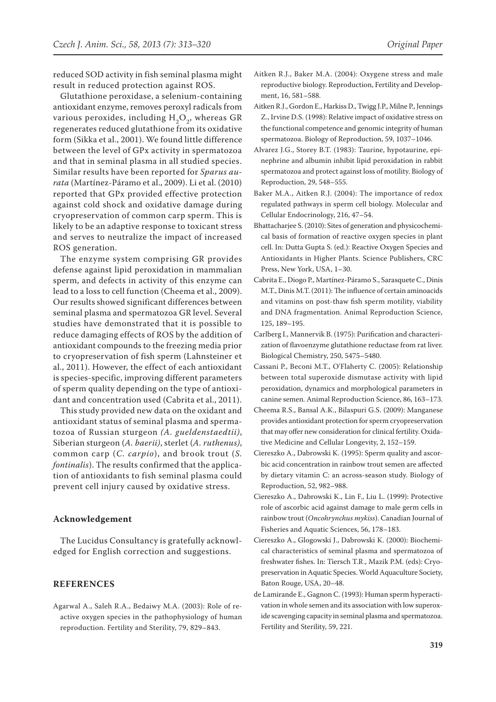reduced SOD activity in fish seminal plasma might result in reduced protection against ROS.

Glutathione peroxidase, a selenium-containing antioxidant enzyme, removes peroxyl radicals from various peroxides, including  $H_2O_2$ , whereas GR regenerates reduced glutathione from its oxidative form (Sikka et al., 2001). We found little difference between the level of GPx activity in spermatozoa and that in seminal plasma in all studied species. Similar results have been reported for *Sparus aurata* (Martínez-Páramo et al., 2009). Li et al. (2010) reported that GPx provided effective protection against cold shock and oxidative damage during cryopreservation of common carp sperm. This is likely to be an adaptive response to toxicant stress and serves to neutralize the impact of increased ROS generation.

The enzyme system comprising GR provides defense against lipid peroxidation in mammalian sperm, and defects in activity of this enzyme can lead to a loss to cell function (Cheema et al., 2009). Our results showed significant differences between seminal plasma and spermatozoa GR level. Several studies have demonstrated that it is possible to reduce damaging effects of ROS by the addition of antioxidant compounds to the freezing media prior to cryopreservation of fish sperm (Lahnsteiner et al., 2011). However, the effect of each antioxidant is species-specific, improving different parameters of sperm quality depending on the type of antioxidant and concentration used (Cabrita et al., 2011).

This study provided new data on the oxidant and antioxidant status of seminal plasma and spermatozoa of Russian sturgeon *(A. gueldenstaedtii)*, Siberian sturgeon (*A. baerii)*, sterlet (*A. ruthenus)*, common carp (*C. carpio*), and brook trout (*S. fontinalis*). The results confirmed that the application of antioxidants to fish seminal plasma could prevent cell injury caused by oxidative stress.

# **Acknowledgement**

The Lucidus Consultancy is gratefully acknowledged for English correction and suggestions.

# **REFERENCES**

Agarwal A., Saleh R.A., Bedaiwy M.A. (2003): Role of reactive oxygen species in the pathophysiology of human reproduction. Fertility and Sterility, 79, 829–843.

- Aitken R.J., Baker M.A. (2004): Oxygene stress and male reproductive biology. Reproduction, Fertility and Development, 16, 581–588.
- Aitken R.J., Gordon E., Harkiss D., Twigg J.P., Milne P., Jennings Z., Irvine D.S. (1998): Relative impact of oxidative stress on the functional competence and genomic integrity of human spermatozoa. Biology of Reproduction, 59, 1037–1046.
- Alvarez J.G., Storey B.T. (1983): Taurine, hypotaurine, epinephrine and albumin inhibit lipid peroxidation in rabbit spermatozoa and protect against loss of motility. Biology of Reproduction, 29, 548–555.
- Baker M.A., Aitken R.J. (2004): The importance of redox regulated pathways in sperm cell biology. Molecular and Cellular Endocrinology, 216, 47–54.
- Bhattacharjee S. (2010): Sites of generation and physicochemical basis of formation of reactive oxygen species in plant cell. In: Dutta Gupta S. (ed.): Reactive Oxygen Species and Antioxidants in Higher Plants. Science Publishers, CRC Press, New York, USA, 1–30.
- Cabrita E., Diogo P., Martínez-Páramo S., Sarasquete C., Dinis M.T., Dinis M.T. (2011): The influence of certain aminoacids and vitamins on post-thaw fish sperm motility, viability and DNA fragmentation. Animal Reproduction Science, 125, 189–195.
- Carlberg I., Mannervik B. (1975): Purification and characterization of flavoenzyme glutathione reductase from rat liver. Biological Chemistry, 250, 5475–5480.
- Cassani P., Beconi M.T., O'Flaherty C. (2005): Relationship between total superoxide dismutase activity with lipid peroxidation, dynamics and morphological parameters in canine semen. Animal Reproduction Science, 86, 163–173.
- Cheema R.S., Bansal A.K., Bilaspuri G.S. (2009): Manganese provides antioxidant protection for sperm cryopreservation that may offer new consideration for clinical fertility. Oxidative Medicine and Cellular Longevity, 2, 152–159.
- Ciereszko A., Dabrowski K. (1995): Sperm quality and ascorbic acid concentration in rainbow trout semen are affected by dietary vitamin C: an across-season study. Biology of Reproduction, 52, 982–988.
- Ciereszko A., Dabrowski K., Lin F., Liu L. (1999): Protective role of ascorbic acid against damage to male germ cells in rainbow trout (*Oncohrynchus mykiss*). Canadian Journal of Fisheries and Aquatic Sciences, 56, 178–183.
- Ciereszko A., Glogowski J., Dabrowski K. (2000): Biochemical characteristics of seminal plasma and spermatozoa of freshwater fishes. In: Tiersch T.R., Mazik P.M. (eds): Cryopreservation in Aquatic Species. World Aquaculture Society, Baton Rouge, USA, 20–48.
- de Lamirande E., Gagnon C. (1993): Human sperm hyperactivation in whole semen and its association with low superoxide scavenging capacity in seminal plasma and spermatozoa. Fertility and Sterility, 59, 221.